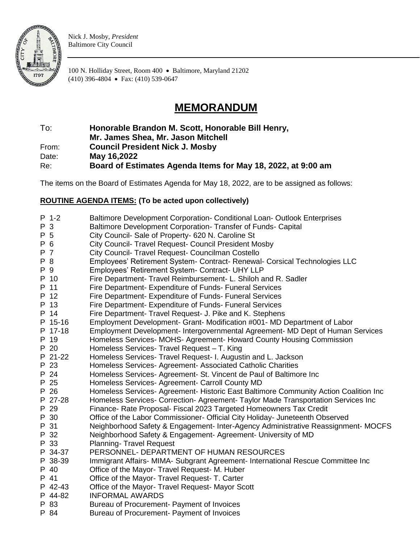

Nick J. Mosby, *President* Baltimore City Council

100 N. Holliday Street, Room 400 • Baltimore, Maryland 21202 (410) 396-4804 • Fax: (410) 539-0647

## **MEMORANDUM**

To: **Honorable Brandon M. Scott, Honorable Bill Henry,** 

**Mr. James Shea, Mr. Jason Mitchell**

From: **Council President Nick J. Mosby**

Date: **May 16,2022**

Re: **Board of Estimates Agenda Items for May 18, 2022, at 9:00 am**

The items on the Board of Estimates Agenda for May 18, 2022, are to be assigned as follows:

## **ROUTINE AGENDA ITEMS: (To be acted upon collectively)**

|     | P 1-2   | Baltimore Development Corporation- Conditional Loan- Outlook Enterprises             |
|-----|---------|--------------------------------------------------------------------------------------|
| P 3 |         | Baltimore Development Corporation-Transfer of Funds-Capital                          |
| P 5 |         | City Council- Sale of Property- 620 N. Caroline St                                   |
| P 6 |         | City Council- Travel Request- Council President Mosby                                |
| P 7 |         | City Council- Travel Request- Councilman Costello                                    |
| P 8 |         | Employees' Retirement System- Contract- Renewal- Corsical Technologies LLC           |
| P 9 |         | Employees' Retirement System- Contract- UHY LLP                                      |
|     | P 10    | Fire Department- Travel Reimbursement- L. Shiloh and R. Sadler                       |
|     | P 11    | Fire Department- Expenditure of Funds- Funeral Services                              |
|     | P 12    | Fire Department- Expenditure of Funds- Funeral Services                              |
|     | P 13    | Fire Department- Expenditure of Funds- Funeral Services                              |
|     | P 14    | Fire Department- Travel Request- J. Pike and K. Stephens                             |
|     | P 15-16 | Employment Development- Grant- Modification #001- MD Department of Labor             |
|     | P 17-18 | Employment Development- Intergovernmental Agreement- MD Dept of Human Services       |
|     | P 19    | Homeless Services-MOHS-Agreement-Howard County Housing Commission                    |
|     | P 20    | Homeless Services- Travel Request - T. King                                          |
|     | P 21-22 | Homeless Services- Travel Request- I. Augustin and L. Jackson                        |
|     | P 23    | Homeless Services- Agreement- Associated Catholic Charities                          |
|     | P 24    | Homeless Services- Agreement- St. Vincent de Paul of Baltimore Inc                   |
|     | P 25    | Homeless Services- Agreement- Carroll County MD                                      |
|     | P 26    | Homeless Services- Agreement- Historic East Baltimore Community Action Coalition Inc |
|     | P 27-28 | Homeless Services- Correction- Agreement- Taylor Made Transportation Services Inc    |
|     | P 29    | Finance- Rate Proposal- Fiscal 2023 Targeted Homeowners Tax Credit                   |
|     | P 30    | Office of the Labor Commissioner- Official City Holiday- Juneteenth Observed         |
|     | P 31    | Neighborhood Safety & Engagement- Inter-Agency Administrative Reassignment- MOCFS    |
|     | P 32    | Neighborhood Safety & Engagement- Agreement- University of MD                        |
|     | P 33    | <b>Planning-Travel Request</b>                                                       |
|     | P 34-37 | PERSONNEL- DEPARTMENT OF HUMAN RESOURCES                                             |
|     | P 38-39 | Immigrant Affairs- MIMA- Subgrant Agreement- International Rescue Committee Inc      |
|     | P 40    | Office of the Mayor- Travel Request- M. Huber                                        |
|     | P 41    | Office of the Mayor- Travel Request- T. Carter                                       |
|     | P 42-43 | Office of the Mayor- Travel Request- Mayor Scott                                     |
|     | P 44-82 | <b>INFORMAL AWARDS</b>                                                               |
|     | P 83    | Bureau of Procurement- Payment of Invoices                                           |
|     | P 84    | Bureau of Procurement- Payment of Invoices                                           |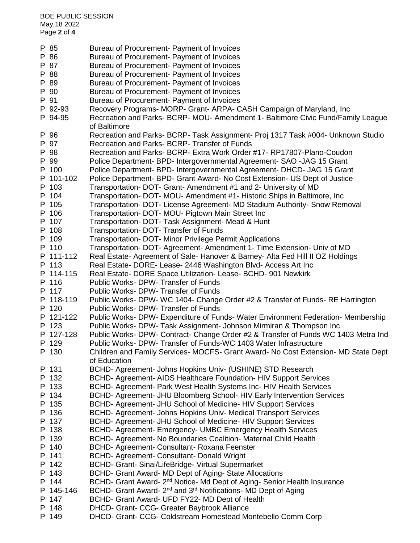BOE PUBLIC SESSION May,18 2022 Page **2** of **4**

P 85 Bureau of Procurement- Payment of Invoices P 86 Bureau of Procurement- Payment of Invoices P 87 Bureau of Procurement- Payment of Invoices P 88 Bureau of Procurement- Payment of Invoices P 89 Bureau of Procurement- Payment of Invoices P 90 Bureau of Procurement- Payment of Invoices P 91 Bureau of Procurement- Payment of Invoices P 92-93 Recovery Programs- MORP- Grant- ARPA- CASH Campaign of Maryland, Inc P 94-95 Recreation and Parks- BCRP- MOU- Amendment 1- Baltimore Civic Fund/Family League of Baltimore P 96 Recreation and Parks- BCRP- Task Assignment- Proj 1317 Task #004- Unknown Studio P 97 Recreation and Parks- BCRP- Transfer of Funds P 98 Recreation and Parks- BCRP- Extra Work Order #17- RP17807-Plano-Coudon P 99 Police Department- BPD- Intergovernmental Agreement- SAO -JAG 15 Grant P 100 Police Department- BPD- Intergovernmental Agreement- DHCD- JAG 15 Grant P 101-102 Police Department- BPD- Grant Award- No Cost Extension- US Dept of Justice P 103 Transportation- DOT- Grant- Amendment #1 and 2- University of MD P 104 Transportation- DOT- MOU- Amendment #1- Historic Ships in Baltimore, Inc P 105 Transportation- DOT- License Agreement- MD Stadium Authority- Snow Removal P 106 Transportation- DOT- MOU- Pigtown Main Street Inc P 107 Transportation- DOT- Task Assignment- Mead & Hunt P 108 Transportation- DOT- Transfer of Funds P 109 Transportation- DOT- Minor Privilege Permit Applications P 110 Transportation- DOT- Agreement- Amendment 1- Time Extension- Univ of MD P 111-112 Real Estate- Agreement of Sale- Hanover & Barney- Alta Fed Hill II OZ Holdings P 113 Real Estate- DORE- Lease- 2446 Washington Blvd- Access Art Inc P 114-115 Real Estate- DORE Space Utilization- Lease- BCHD- 901 Newkirk P 116 Public Works- DPW- Transfer of Funds P 117 Public Works- DPW- Transfer of Funds P 118-119 Public Works- DPW- WC 1404- Change Order #2 & Transfer of Funds- RE Harrington P 120 Public Works- DPW- Transfer of Funds P 121-122 Public Works- DPW- Expenditure of Funds- Water Environment Federation- Membership P 123 Public Works- DPW- Task Assignment- Johnson Mirmiran & Thompson Inc P 127-128 Public Works- DPW- Contract- Change Order #2 & Transfer of Funds WC 1403 Metra Ind P 129 Public Works- DPW- Transfer of Funds-WC 1403 Water Infrastructure P 130 Children and Family Services- MOCFS- Grant Award- No Cost Extension- MD State Dept of Education P 131 BCHD- Agreement- Johns Hopkins Univ- (USHINE) STD Research P 132 BCHD- Agreement- AIDS Healthcare Foundation- HIV Support Services P 133 BCHD- Agreement- Park West Health Systems Inc- HIV Health Services P 134 BCHD- Agreement- JHU Bloomberg School- HIV Early Intervention Services P 135 BCHD- Agreement- JHU School of Medicine- HIV Support Services P 136 BCHD- Agreement- Johns Hopkins Univ- Medical Transport Services P 137 BCHD- Agreement- JHU School of Medicine- HIV Support Services P 138 BCHD- Agreement- Emergency- UMBC Emergency Health Services P 139 BCHD- Agreement- No Boundaries Coalition- Maternal Child Health P 140 BCHD- Agreement- Consultant- Roxana Feenster P 141 BCHD- Agreement- Consultant- Donald Wright P 142 BCHD- Grant- Sinai/LifeBridge- Virtual Supermarket P 143 BCHD- Grant Award- MD Dept of Aging- State Allocations P 144 BCHD- Grant Award- 2<sup>nd</sup> Notice- Md Dept of Aging- Senior Health Insurance P 145-146 BCHD- Grant Award-  $2^{nd}$  and  $3^{rd}$  Notifications- MD Dept of Aging P 147 BCHD- Grant Award- UFD FY22- MD Dept of Health P 148 DHCD- Grant- CCG- Greater Baybrook Alliance P 149 DHCD- Grant- CCG- Coldstream Homestead Montebello Comm Corp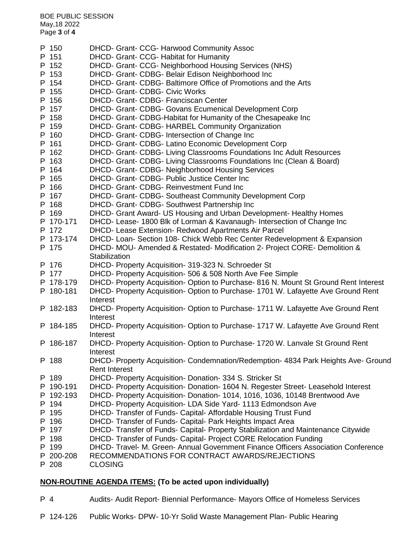BOE PUBLIC SESSION May,18 2022 Page **3** of **4**

| MONLDOUTINE ACENDA ITEMS: (To be seted upon individually) |                                                                                               |  |  |
|-----------------------------------------------------------|-----------------------------------------------------------------------------------------------|--|--|
| P 208                                                     | <b>CLOSING</b>                                                                                |  |  |
| P 200-208                                                 | RECOMMENDATIONS FOR CONTRACT AWARDS/REJECTIONS                                                |  |  |
| P 199                                                     | DHCD- Travel- M. Green- Annual Government Finance Officers Association Conference             |  |  |
| P 198                                                     | DHCD- Transfer of Funds- Capital- Project CORE Relocation Funding                             |  |  |
| P 197                                                     | DHCD- Transfer of Funds- Capital- Property Stabilization and Maintenance Citywide             |  |  |
| P 196                                                     | DHCD- Transfer of Funds- Capital- Park Heights Impact Area                                    |  |  |
| P 195                                                     | DHCD- Transfer of Funds- Capital- Affordable Housing Trust Fund                               |  |  |
| P 194                                                     | DHCD- Property Acquisition- LDA Side Yard- 1113 Edmondson Ave                                 |  |  |
| P 192-193                                                 | DHCD- Property Acquisition- Donation- 1014, 1016, 1036, 10148 Brentwood Ave                   |  |  |
| P 190-191                                                 | DHCD- Property Acquisition- Donation- 1604 N. Regester Street- Leasehold Interest             |  |  |
| P 189                                                     | DHCD- Property Acquisition- Donation- 334 S. Stricker St                                      |  |  |
|                                                           | <b>Rent Interest</b>                                                                          |  |  |
| P 188                                                     | DHCD- Property Acquisition- Condemnation/Redemption- 4834 Park Heights Ave- Ground            |  |  |
|                                                           | Interest                                                                                      |  |  |
| P 186-187                                                 | DHCD- Property Acquisition- Option to Purchase- 1720 W. Lanvale St Ground Rent                |  |  |
|                                                           | Interest                                                                                      |  |  |
| P 184-185                                                 | DHCD- Property Acquisition- Option to Purchase- 1717 W. Lafayette Ave Ground Rent             |  |  |
|                                                           | DHCD- Property Acquisition- Option to Purchase- 1711 W. Lafayette Ave Ground Rent<br>Interest |  |  |
| P 182-183                                                 | Interest                                                                                      |  |  |
| P 180-181                                                 | DHCD- Property Acquisition- Option to Purchase- 1701 W. Lafayette Ave Ground Rent             |  |  |
| P 178-179                                                 | DHCD- Property Acquisition- Option to Purchase- 816 N. Mount St Ground Rent Interest          |  |  |
|                                                           | DHCD- Property Acquisition- 506 & 508 North Ave Fee Simple                                    |  |  |
| P 177                                                     | DHCD- Property Acquisition- 319-323 N. Schroeder St                                           |  |  |
| P 176                                                     |                                                                                               |  |  |
| P 175                                                     | DHCD- MOU- Amended & Restated- Modification 2- Project CORE- Demolition &<br>Stabilization    |  |  |
| P 173-174                                                 | DHCD- Loan- Section 108- Chick Webb Rec Center Redevelopment & Expansion                      |  |  |
| P 172                                                     | DHCD- Lease Extension- Redwood Apartments Air Parcel                                          |  |  |
|                                                           | DHCD- Lease- 1800 Blk of Lorman & Kavanaugh- Intersection of Change Inc                       |  |  |
| P 170-171                                                 |                                                                                               |  |  |
| P 169                                                     | DHCD- Grant Award- US Housing and Urban Development- Healthy Homes                            |  |  |
| P 168                                                     | DHCD- Grant- CDBG- Southwest Partnership Inc                                                  |  |  |
| P 167                                                     | DHCD- Grant- CDBG- Southeast Community Development Corp                                       |  |  |
| P 166                                                     | DHCD- Grant- CDBG- Reinvestment Fund Inc                                                      |  |  |
| P 165                                                     | DHCD- Grant- CDBG- Public Justice Center Inc                                                  |  |  |
| P 164                                                     | DHCD- Grant- CDBG- Neighborhood Housing Services                                              |  |  |
| P 163                                                     | DHCD- Grant- CDBG- Living Classrooms Foundations Inc (Clean & Board)                          |  |  |
| P 162                                                     | DHCD- Grant- CDBG- Living Classrooms Foundations Inc Adult Resources                          |  |  |
| P 161                                                     | DHCD- Grant- CDBG- Latino Economic Development Corp                                           |  |  |
| P 160                                                     | DHCD- Grant- CDBG- Intersection of Change Inc                                                 |  |  |
| P 159                                                     | DHCD- Grant- CDBG- HARBEL Community Organization                                              |  |  |
| P 158                                                     | DHCD- Grant- CDBG-Habitat for Humanity of the Chesapeake Inc                                  |  |  |
| P 157                                                     | DHCD- Grant- CDBG- Govans Ecumenical Development Corp                                         |  |  |
| P 156                                                     | DHCD- Grant- CDBG- Franciscan Center                                                          |  |  |
| P 155                                                     | <b>DHCD- Grant- CDBG- Civic Works</b>                                                         |  |  |
| P 154                                                     | DHCD- Grant- CDBG- Baltimore Office of Promotions and the Arts                                |  |  |
| P 153                                                     | DHCD- Grant- CDBG- Belair Edison Neighborhood Inc                                             |  |  |
| P 152                                                     | DHCD- Grant- CCG- Neighborhood Housing Services (NHS)                                         |  |  |
| P 151                                                     | DHCD- Grant- CCG- Habitat for Humanity                                                        |  |  |
| P 150                                                     | DHCD- Grant- CCG- Harwood Community Assoc                                                     |  |  |
|                                                           |                                                                                               |  |  |

## **NON-ROUTINE AGENDA ITEMS: (To be acted upon individually)**

P 4 Audits- Audit Report- Biennial Performance- Mayors Office of Homeless Services

P 124-126 Public Works- DPW- 10-Yr Solid Waste Management Plan- Public Hearing